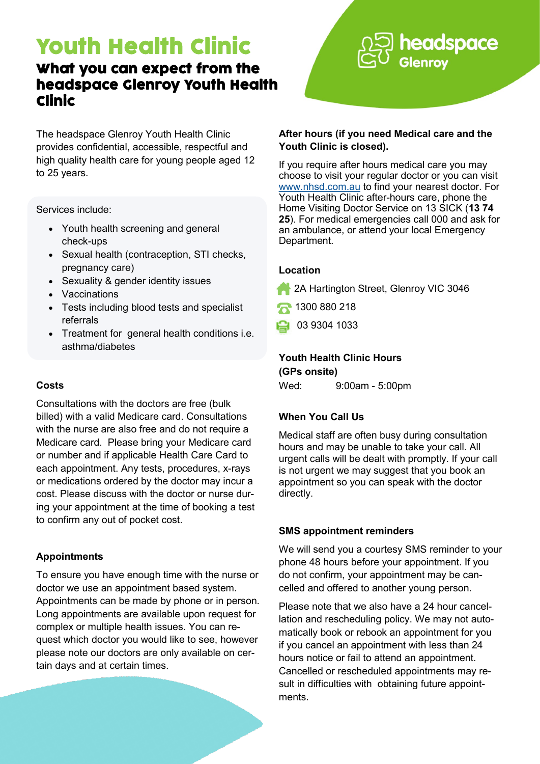## Youth Health Clinic

### What you can expect from the headspace Glenroy Youth Health Clinic

The headspace Glenroy Youth Health Clinic provides confidential, accessible, respectful and high quality health care for young people aged 12 to 25 years.

Services include:

- Youth health screening and general check-ups
- Sexual health (contraception, STI checks, pregnancy care)
- Sexuality & gender identity issues
- Vaccinations
- Tests including blood tests and specialist referrals
- Treatment for general health conditions i.e. asthma/diabetes

#### **Costs**

Consultations with the doctors are free (bulk billed) with a valid Medicare card. Consultations with the nurse are also free and do not require a Medicare card. Please bring your Medicare card or number and if applicable Health Care Card to each appointment. Any tests, procedures, x-rays or medications ordered by the doctor may incur a cost. Please discuss with the doctor or nurse during your appointment at the time of booking a test to confirm any out of pocket cost.

#### **Appointments**

To ensure you have enough time with the nurse or doctor we use an appointment based system. Appointments can be made by phone or in person. Long appointments are available upon request for complex or multiple health issues. You can request which doctor you would like to see, however please note our doctors are only available on certain days and at certain times.

# headspace

#### **After hours (if you need Medical care and the Youth Clinic is closed).**

If you require after hours medical care you may choose to visit your regular doctor or you can visit [www.nhsd.com.au](http://www.nhsd.com.au) to find your nearest doctor. For Youth Health Clinic after-hours care, phone the Home Visiting Doctor Service on 13 SICK (**13 74 25**). For medical emergencies call 000 and ask for an ambulance, or attend your local Emergency Department.

#### **Location**

- **2A Hartington Street, Glenroy VIC 3046**
- 1300 880 218
- 03 9304 1033

#### **Youth Health Clinic Hours (GPs onsite)**

Wed: 9:00am - 5:00pm

#### **When You Call Us**

Medical staff are often busy during consultation hours and may be unable to take your call. All urgent calls will be dealt with promptly. If your call is not urgent we may suggest that you book an appointment so you can speak with the doctor directly.

#### **SMS appointment reminders**

We will send you a courtesy SMS reminder to your phone 48 hours before your appointment. If you do not confirm, your appointment may be cancelled and offered to another young person.

Please note that we also have a 24 hour cancellation and rescheduling policy. We may not automatically book or rebook an appointment for you if you cancel an appointment with less than 24 hours notice or fail to attend an appointment. Cancelled or rescheduled appointments may result in difficulties with obtaining future appointments.